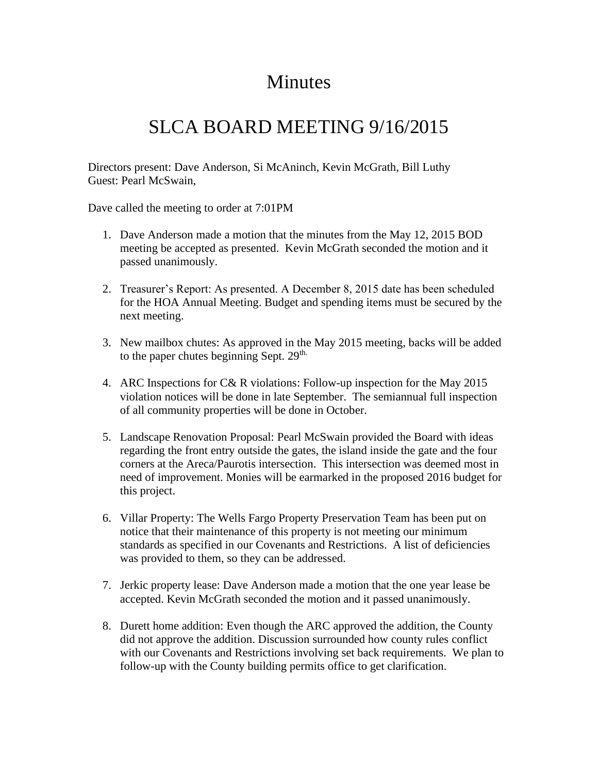## **Minutes**

## SLCA BOARD MEETING 9/16/2015

Directors present: Dave Anderson, Si McAninch, Kevin McGrath, Bill Luthy Guest: Pearl McSwain,

Dave called the meeting to order at 7:01PM

- 1. Dave Anderson made a motion that the minutes from the May 12, 2015 BOD meeting be accepted as presented. Kevin McGrath seconded the motion and it passed unanimously.
- 2. Treasurer's Report: As presented. A December 8, 2015 date has been scheduled for the HOA Annual Meeting. Budget and spending items must be secured by the next meeting.
- 3. New mailbox chutes: As approved in the May 2015 meeting, backs will be added to the paper chutes beginning Sept.  $29<sup>th</sup>$ .
- 4. ARC Inspections for C& R violations: Follow-up inspection for the May 2015 violation notices will be done in late September. The semiannual full inspection of all community properties will be done in October.
- 5. Landscape Renovation Proposal: Pearl McSwain provided the Board with ideas regarding the front entry outside the gates, the island inside the gate and the four corners at the Areca/Paurotis intersection. This intersection was deemed most in need of improvement. Monies will be earmarked in the proposed 2016 budget for this project.
- 6. Villar Property: The Wells Fargo Property Preservation Team has been put on notice that their maintenance of this property is not meeting our minimum standards as specified in our Covenants and Restrictions. A list of deficiencies was provided to them, so they can be addressed.
- 7. Jerkic property lease: Dave Anderson made a motion that the one year lease be accepted. Kevin McGrath seconded the motion and it passed unanimously.
- 8. Durett home addition: Even though the ARC approved the addition, the County did not approve the addition. Discussion surrounded how county rules conflict with our Covenants and Restrictions involving set back requirements. We plan to follow-up with the County building permits office to get clarification.